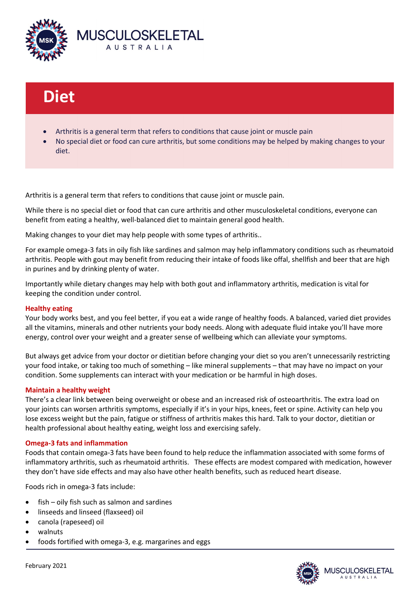

# Diet

- Arthritis is a general term that refers to conditions that cause joint or muscle pain
- No special diet or food can cure arthritis, but some conditions may be helped by making changes to your diet.

Arthritis is a general term that refers to conditions that cause joint or muscle pain.

While there is no special diet or food that can cure arthritis and other musculoskeletal conditions, everyone can benefit from eating a healthy, well-balanced diet to maintain general good health.

Making changes to your diet may help people with some types of arthritis..

For example omega-3 fats in oily fish like sardines and salmon may help inflammatory conditions such as rheumatoid arthritis. People with gout may benefit from reducing their intake of foods like offal, shellfish and beer that are high in purines and by drinking plenty of water.

Importantly while dietary changes may help with both gout and inflammatory arthritis, medication is vital for keeping the condition under control.

#### Healthy eating

Your body works best, and you feel better, if you eat a wide range of healthy foods. A balanced, varied diet provides all the vitamins, minerals and other nutrients your body needs. Along with adequate fluid intake you'll have more energy, control over your weight and a greater sense of wellbeing which can alleviate your symptoms.

But always get advice from your doctor or dietitian before changing your diet so you aren't unnecessarily restricting your food intake, or taking too much of something – like mineral supplements – that may have no impact on your condition. Some supplements can interact with your medication or be harmful in high doses.

#### Maintain a healthy weight

There's a clear link between being overweight or obese and an increased risk of osteoarthritis. The extra load on your joints can worsen arthritis symptoms, especially if it's in your hips, knees, feet or spine. Activity can help you lose excess weight but the pain, fatigue or stiffness of arthritis makes this hard. Talk to your doctor, dietitian or health professional about healthy eating, weight loss and exercising safely.

#### Omega-3 fats and inflammation

Foods that contain omega-3 fats have been found to help reduce the inflammation associated with some forms of inflammatory arthritis, such as rheumatoid arthritis. These effects are modest compared with medication, however they don't have side effects and may also have other health benefits, such as reduced heart disease.

Foods rich in omega-3 fats include:

- fish oily fish such as salmon and sardines
- linseeds and linseed (flaxseed) oil
- canola (rapeseed) oil
- walnuts
- foods fortified with omega-3, e.g. margarines and eggs



February 2021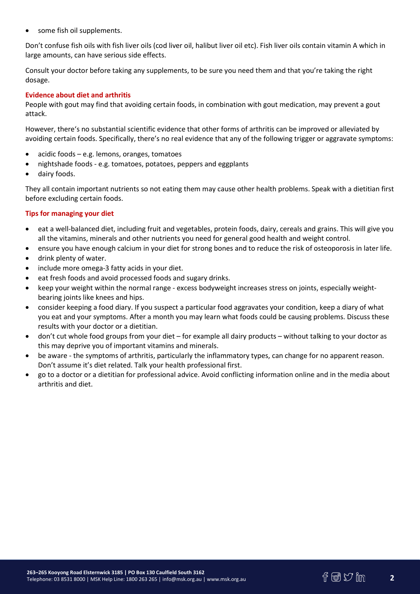some fish oil supplements.

Don't confuse fish oils with fish liver oils (cod liver oil, halibut liver oil etc). Fish liver oils contain vitamin A which in large amounts, can have serious side effects.

Consult your doctor before taking any supplements, to be sure you need them and that you're taking the right dosage.

#### Evidence about diet and arthritis

People with gout may find that avoiding certain foods, in combination with gout medication, may prevent a gout attack.

However, there's no substantial scientific evidence that other forms of arthritis can be improved or alleviated by avoiding certain foods. Specifically, there's no real evidence that any of the following trigger or aggravate symptoms:

- acidic foods e.g. lemons, oranges, tomatoes
- nightshade foods e.g. tomatoes, potatoes, peppers and eggplants
- dairy foods.

They all contain important nutrients so not eating them may cause other health problems. Speak with a dietitian first before excluding certain foods.

### Tips for managing your diet

- eat a well-balanced diet, including fruit and vegetables, protein foods, dairy, cereals and grains. This will give you all the vitamins, minerals and other nutrients you need for general good health and weight control.
- ensure you have enough calcium in your diet for strong bones and to reduce the risk of osteoporosis in later life.
- drink plenty of water.
- include more omega-3 fatty acids in your diet.
- eat fresh foods and avoid processed foods and sugary drinks.
- keep your weight within the normal range excess bodyweight increases stress on joints, especially weightbearing joints like knees and hips.
- consider keeping a food diary. If you suspect a particular food aggravates your condition, keep a diary of what you eat and your symptoms. After a month you may learn what foods could be causing problems. Discuss these results with your doctor or a dietitian.
- don't cut whole food groups from your diet for example all dairy products without talking to your doctor as this may deprive you of important vitamins and minerals.
- be aware the symptoms of arthritis, particularly the inflammatory types, can change for no apparent reason. Don't assume it's diet related. Talk your health professional first.
- go to a doctor or a dietitian for professional advice. Avoid conflicting information online and in the media about arthritis and diet.

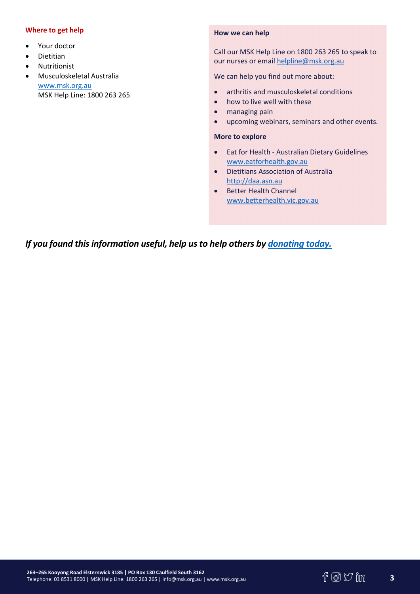## Where to get help

- Your doctor
- Dietitian
- Nutritionist
- Musculoskeletal Australia www.msk.org.au MSK Help Line: 1800 263 265

#### How we can help

Call our MSK Help Line on 1800 263 265 to speak to our nurses or email helpline@msk.org.au

We can help you find out more about:

- arthritis and musculoskeletal conditions
- how to live well with these
- managing pain
- upcoming webinars, seminars and other events.

#### More to explore

- Eat for Health Australian Dietary Guidelines www.eatforhealth.gov.au
- Dietitians Association of Australia http://daa.asn.au
- Better Health Channel www.betterhealth.vic.gov.au

If you found this information useful, help us to help others by donating today.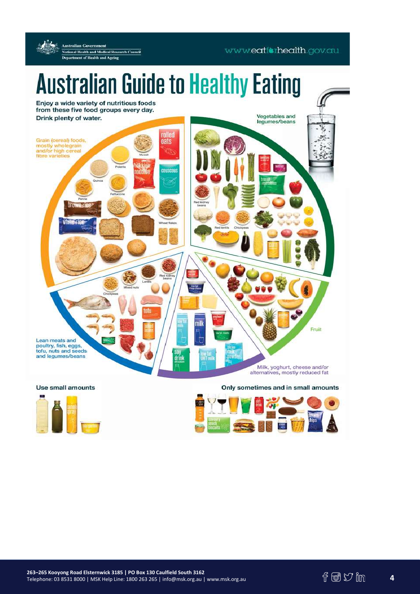

#### Use small amounts

Only sometimes and in small amounts